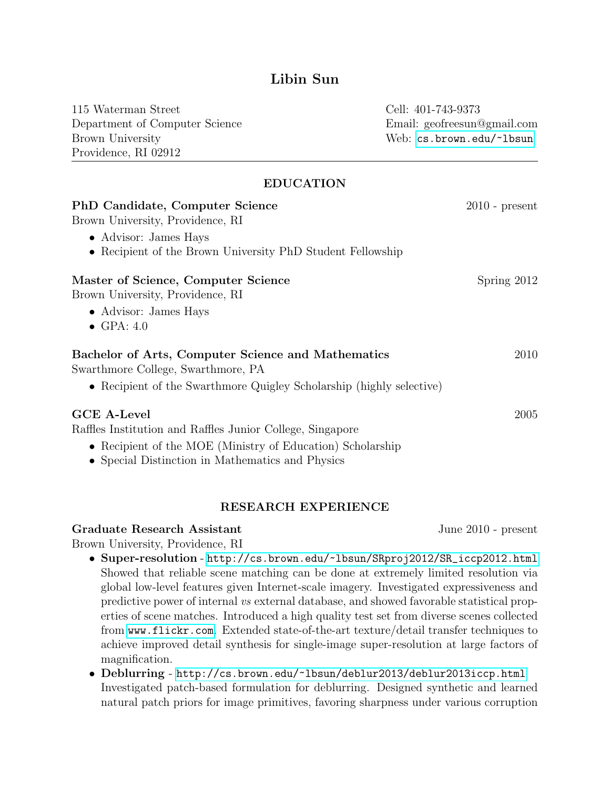# Libin Sun

115 Waterman Street Department of Computer Science Brown University Providence, RI 02912

Cell: 401-743-9373 Email: geofreesun@gmail.com Web: <cs.brown.edu/~lbsun>

# EDUCATION

| PhD Candidate, Computer Science                                      | $2010$ - present |
|----------------------------------------------------------------------|------------------|
| Brown University, Providence, RI<br>• Advisor: James Hays            |                  |
|                                                                      |                  |
| Master of Science, Computer Science                                  | Spring 2012      |
| Brown University, Providence, RI                                     |                  |
| • Advisor: James Hays                                                |                  |
| $\bullet$ GPA: 4.0                                                   |                  |
| Bachelor of Arts, Computer Science and Mathematics                   | 2010             |
| Swarthmore College, Swarthmore, PA                                   |                  |
| • Recipient of the Swarthmore Quigley Scholarship (highly selective) |                  |
| <b>GCE A-Level</b>                                                   | 2005             |
| Raffles Institution and Raffles Junior College, Singapore            |                  |
| • Recipient of the MOE (Ministry of Education) Scholarship           |                  |
| • Special Distinction in Mathematics and Physics                     |                  |

### RESEARCH EXPERIENCE

#### Graduate Research Assistant June 2010 - present

Brown University, Providence, RI

- Super-resolution [http://cs.brown.edu/~lbsun/SRproj2012/SR\\_iccp2012.html](http://cs.brown.edu/~lbsun/SRproj2012/SR_iccp2012.html) Showed that reliable scene matching can be done at extremely limited resolution via global low-level features given Internet-scale imagery. Investigated expressiveness and predictive power of internal vs external database, and showed favorable statistical properties of scene matches. Introduced a high quality test set from diverse scenes collected from <www.flickr.com>. Extended state-of-the-art texture/detail transfer techniques to achieve improved detail synthesis for single-image super-resolution at large factors of magnification.
- Deblurring <http://cs.brown.edu/~lbsun/deblur2013/deblur2013iccp.html> Investigated patch-based formulation for deblurring. Designed synthetic and learned natural patch priors for image primitives, favoring sharpness under various corruption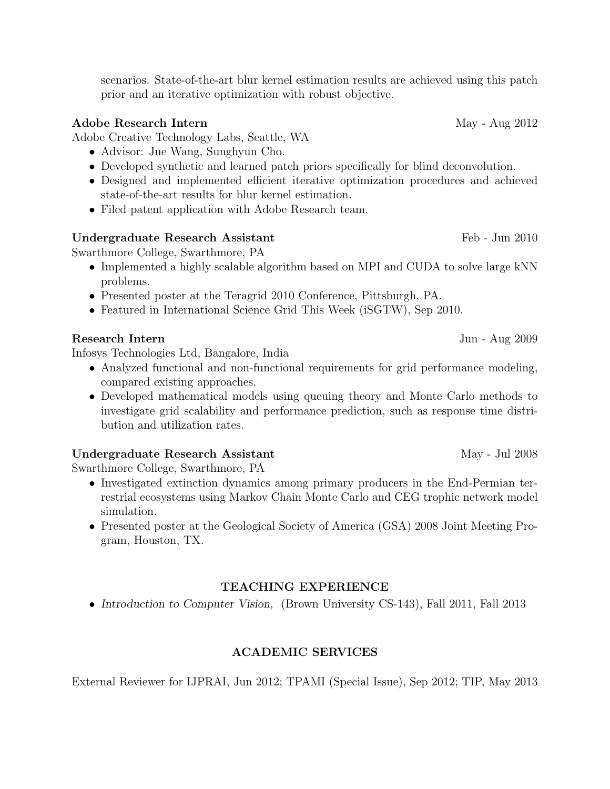scenarios. State-of-the-art blur kernel estimation results are achieved using this patch prior and an iterative optimization with robust objective.

# Adobe Research Intern May - Aug 2012

Adobe Creative Technology Labs, Seattle, WA

- Advisor: Jue Wang, Sunghyun Cho.
- Developed synthetic and learned patch priors specifically for blind deconvolution.
- Designed and implemented efficient iterative optimization procedures and achieved state-of-the-art results for blur kernel estimation.
- Filed patent application with Adobe Research team.

### Undergraduate Research Assistant Feb - Jun 2010

Swarthmore College, Swarthmore, PA

- Implemented a highly scalable algorithm based on MPI and CUDA to solve large kNN problems.
- Presented poster at the Teragrid 2010 Conference, Pittsburgh, PA.
- Featured in International Science Grid This Week (iSGTW), Sep 2010.

# Research Intern Jun - Aug 2009

Infosys Technologies Ltd, Bangalore, India

- Analyzed functional and non-functional requirements for grid performance modeling, compared existing approaches.
- Developed mathematical models using queuing theory and Monte Carlo methods to investigate grid scalability and performance prediction, such as response time distribution and utilization rates.

### Undergraduate Research Assistant May - Jul 2008

Swarthmore College, Swarthmore, PA

- Investigated extinction dynamics among primary producers in the End-Permian terrestrial ecosystems using Markov Chain Monte Carlo and CEG trophic network model simulation.
- Presented poster at the Geological Society of America (GSA) 2008 Joint Meeting Program, Houston, TX.

# TEACHING EXPERIENCE

• Introduction to Computer Vision, (Brown University CS-143), Fall 2011, Fall 2013

# ACADEMIC SERVICES

External Reviewer for IJPRAI, Jun 2012; TPAMI (Special Issue), Sep 2012; TIP, May 2013